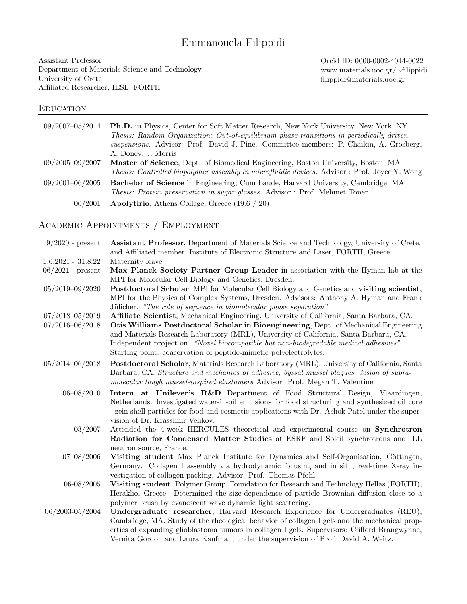# Emmanouela Filippidi

Assistant Professor Department of Materials Science and Technology University of Crete Affiliated Researcher, IESL, FORTH

Orcid ID: 0000-0002-4044-0022 www.materials.uoc.gr/∼filippidi filippidi@materials.uoc.gr

### **EDUCATION**

| 09/2007-05/2014     | <b>Ph.D.</b> in Physics, Center for Soft Matter Research, New York University, New York, NY         |
|---------------------|-----------------------------------------------------------------------------------------------------|
|                     | Thesis: Random Organization: Out-of-equilibrium phase transitions in periodically driven            |
|                     | suspensions. Advisor: Prof. David J. Pine. Committee members: P. Chaikin, A. Grosberg,              |
|                     | A. Doney, J. Morris                                                                                 |
| $09/2005 - 09/2007$ | Master of Science, Dept. of Biomedical Engineering, Boston University, Boston, MA                   |
|                     | <i>Thesis: Controlled biopolymer assembly in microfluidic devices.</i> Advisor: Prof. Joyce Y. Wong |
| $09/2001 - 06/2005$ | <b>Bachelor of Science</b> in Engineering, Cum Laude, Harvard University, Cambridge, MA             |
|                     | <i>Thesis: Protein preservation in sugar glasses.</i> Advisor : Prof. Mehmet Toner                  |
| 06/2001             | <b>Apolytirio</b> , Athens College, Greece $(19.6 / 20)$                                            |

# Academic Appointments / Employment

| $9/2020$ - present   | Assistant Professor, Department of Materials Science and Technology, University of Crete.<br>and Affiliated member, Institute of Electronic Structure and Laser, FORTH, Greece.                                                                                                                                                                                      |
|----------------------|----------------------------------------------------------------------------------------------------------------------------------------------------------------------------------------------------------------------------------------------------------------------------------------------------------------------------------------------------------------------|
| $1.6.2021 - 31.8.22$ | Maternity leave                                                                                                                                                                                                                                                                                                                                                      |
| $06/2021$ - present  | Max Planck Society Partner Group Leader in association with the Hyman lab at the<br>MPI for Molecular Cell Biology and Genetics, Dresden.                                                                                                                                                                                                                            |
| $05/2019 - 09/2020$  | Postdoctoral Scholar, MPI for Molecular Cell Biology and Genetics and visiting scientist,<br>MPI for the Physics of Complex Systems, Dresden. Advisors: Anthony A. Hyman and Frank<br>Jülicher. "The role of sequence in biomolecular phase separation".                                                                                                             |
| 07/2018-05/2019      | Affiliate Scientist, Mechanical Engineering, University of California, Santa Barbara, CA.                                                                                                                                                                                                                                                                            |
| $07/2016 - 06/2018$  | Otis Williams Postdoctoral Scholar in Bioengineering, Dept. of Mechanical Engineering<br>and Materials Research Laboratory (MRL), University of California, Santa Barbara, CA.<br>Independent project on "Novel biocompatible but non-biodegradable medical adhesives".<br>Starting point: coacervation of peptide-mimetic polyelectrolytes.                         |
| $05/2014 - 06/2018$  | Postdoctoral Scholar, Materials Research Laboratory (MRL), University of California, Santa<br>Barbara, CA. Structure and mechanics of adhesive, byssal mussel plaques, design of supra-<br>molecular tough mussel-inspired elastomers Advisor: Prof. Megan T. Valentine                                                                                              |
| $06 - 08/2010$       | Intern at Unilever's R&D Department of Food Structural Design, Vlaardingen,<br>Netherlands. Investigated water-in-oil emulsions for food structuring and synthesized oil core<br>- zein shell particles for food and cosmetic applications with Dr. Ashok Patel under the super-<br>vision of Dr. Krassimir Velikov.                                                 |
| 03/2007              | Attended the 4-week HERCULES theoretical and experimental course on Synchrotron<br>Radiation for Condensed Matter Studies at ESRF and Soleil synchrotrons and ILL<br>neutron source, France.                                                                                                                                                                         |
| $07 - 08/2006$       | Visiting student Max Planck Institute for Dynamics and Self-Organisation, Göttingen,<br>Germany. Collagen I assembly via hydrodynamic focusing and in situ, real-time X-ray in-<br>vestigation of collagen packing. Advisor: Prof. Thomas Pfohl.                                                                                                                     |
| 06-08/2005           | Visiting student, Polymer Group, Foundation for Research and Technology Hellas (FORTH),<br>Heraklio, Greece. Determined the size-dependence of particle Brownian diffusion close to a<br>polymer brush by evanescent wave dynamic light scattering.                                                                                                                  |
| 06/2003-05/2004      | Undergraduate researcher, Harvard Research Experience for Undergraduates (REU),<br>Cambridge, MA. Study of the rheological behavior of collagen I gels and the mechanical prop-<br>erties of expanding glioblastoma tumors in collagen I gels. Supervisors: Clifford Brangwynne,<br>Vernita Gordon and Laura Kaufman, under the supervision of Prof. David A. Weitz. |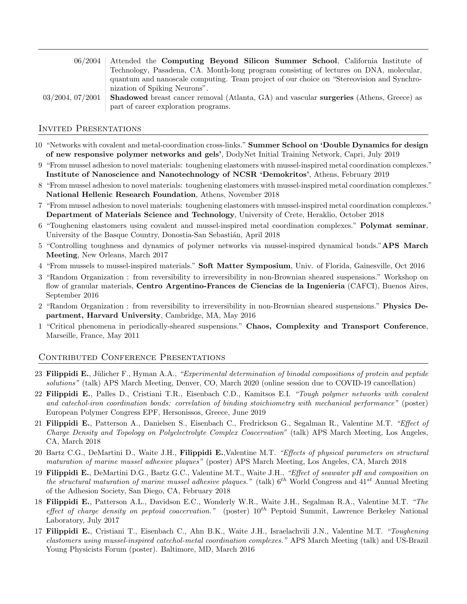|                       | 06/2004 Attended the Computing Beyond Silicon Summer School, California Institute of                  |  |  |
|-----------------------|-------------------------------------------------------------------------------------------------------|--|--|
|                       | Technology, Pasadena, CA. Month-long program consisting of lectures on DNA, molecular,                |  |  |
|                       | quantum and nanoscale computing. Team project of our choice on "Stereovision and Synchro-             |  |  |
|                       | nization of Spiking Neurons".                                                                         |  |  |
| $03/2004$ , $07/2001$ | <b>Shadowed</b> breast cancer removal (Atlanta, GA) and vascular <b>surgeries</b> (Athens, Greece) as |  |  |
|                       | part of career exploration programs.                                                                  |  |  |

#### Invited Presentations

- 10 "Networks with covalent and metal-coordination cross-links." Summer School on 'Double Dynamics for design of new responsive polymer networks and gels', DodyNet Initial Training Network, Capri, July 2019
- 9 "From mussel adhesion to novel materials: toughening elastomers with mussel-inspired metal coordination complexes." Institute of Nanoscience and Nanotechnology of NCSR 'Demokritos', Athens, February 2019
- 8 "From mussel adhesion to novel materials: toughening elastomers with mussel-inspired metal coordination complexes." National Hellenic Research Foundation, Athens, November 2018
- 7 "From mussel adhesion to novel materials: toughening elastomers with mussel-inspired metal coordination complexes." Department of Materials Science and Technology, University of Crete, Heraklio, October 2018
- 6 "Toughening elastomers using covalent and mussel-inspired metal coordination complexes." Polymat seminar, University of the Basque Country, Donostia-San Sebastián, April 2018
- 5 "Controlling toughness and dynamics of polymer networks via mussel-inspired dynamical bonds."APS March Meeting, New Orleans, March 2017
- 4 "From mussels to mussel-inspired materials." Soft Matter Symposium, Univ. of Florida, Gainesville, Oct 2016
- 3 "Random Organization : from reversibility to irreversibility in non-Brownian sheared suspensions." Workshop on flow of granular materials, Centro Argentino-Frances de Ciencias de la Ingenieria (CAFCI), Buenos Aires, September 2016
- 2 "Random Organization : from reversibility to irreversibility in non-Brownian sheared suspensions." Physics Department, Harvard University, Cambridge, MA, May 2016
- 1 "Critical phenomena in periodically-sheared suspensions." Chaos, Complexity and Transport Conference, Marseille, France, May 2011

#### Contributed Conference Presentations

- 23 Filippidi E., Jülicher F., Hyman A.A., "Experimental determination of binodal compositions of protein and peptide solutions" (talk) APS March Meeting, Denver, CO, March 2020 (online session due to COVID-19 cancellation)
- 22 Filippidi E., Palles D., Cristiani T.R., Eisenbach C.D., Kamitsos E.I. "Tough polymer networks with covalent and catechol-iron coordination bonds: correlation of binding stoichiometry with mechanical performance" (poster) European Polymer Congress EPF, Hersonissos, Greece, June 2019
- 21 Filippidi E., Patterson A., Danielsen S., Eisenbach C., Fredrickson G., Segalman R., Valentine M.T. "Effect of Charge Density and Topology on Polyelectrolyte Complex Coacervation" (talk) APS March Meeting, Los Angeles, CA, March 2018
- 20 Bartz C.G., DeMartini D., Waite J.H., Filippidi E., Valentine M.T. "Effects of physical parameters on structural maturation of marine mussel adhesive plaques" (poster) APS March Meeting, Los Angeles, CA, March 2018
- 19 Filippidi E., DeMartini D.G., Bartz G.C., Valentine M.T., Waite J.H., "Effect of seawater pH and composition on the structural maturation of marine mussel adhesive plaques." (talk)  $6^{th}$  World Congress and  $41^{st}$  Annual Meeting of the Adhesion Society, San Diego, CA, February 2018
- 18 Filippidi E., Patterson A.L., Davidson E.C., Wonderly W.R., Waite J.H., Segalman R.A., Valentine M.T. "The effect of charge density on peptoid coacervation." (poster)  $10^{th}$  Peptoid Summit, Lawrence Berkeley National Laboratory, July 2017
- 17 Filippidi E., Cristiani T., Eisenbach C., Ahn B.K., Waite J.H., Israelachvili J.N., Valentine M.T. "Toughening elastomers using mussel-inspired catechol-metal coordination complexes." APS March Meeting (talk) and US-Brazil Young Physicists Forum (poster). Baltimore, MD, March 2016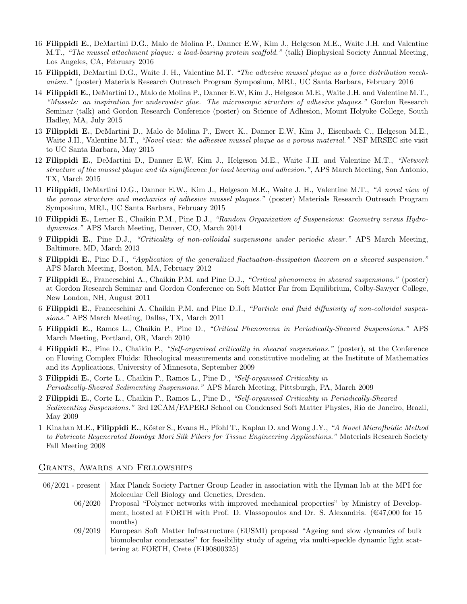- 16 Filippidi E., DeMartini D.G., Malo de Molina P., Danner E.W, Kim J., Helgeson M.E., Waite J.H. and Valentine M.T., "The mussel attachment plaque: a load-bearing protein scaffold." (talk) Biophysical Society Annual Meeting, Los Angeles, CA, February 2016
- 15 Filippidi, DeMartini D.G., Waite J. H., Valentine M.T. "The adhesive mussel plaque as a force distribution mechanism." (poster) Materials Research Outreach Program Symposium, MRL, UC Santa Barbara, February 2016
- 14 Filippidi E., DeMartini D., Malo de Molina P., Danner E.W, Kim J., Helgeson M.E., Waite J.H. and Valentine M.T., "Mussels: an inspiration for underwater glue. The microscopic structure of adhesive plaques." Gordon Research Seminar (talk) and Gordon Research Conference (poster) on Science of Adhesion, Mount Holyoke College, South Hadley, MA, July 2015
- 13 Filippidi E., DeMartini D., Malo de Molina P., Ewert K., Danner E.W, Kim J., Eisenbach C., Helgeson M.E., Waite J.H., Valentine M.T., "Novel view: the adhesive mussel plaque as a porous material." NSF MRSEC site visit to UC Santa Barbara, May 2015
- 12 Filippidi E., DeMartini D., Danner E.W, Kim J., Helgeson M.E., Waite J.H. and Valentine M.T., "Network structure of the mussel plaque and its significance for load bearing and adhesion.", APS March Meeting, San Antonio, TX, March 2015
- 11 Filippidi, DeMartini D.G., Danner E.W., Kim J., Helgeson M.E., Waite J. H., Valentine M.T., "A novel view of the porous structure and mechanics of adhesive mussel plaques." (poster) Materials Research Outreach Program Symposium, MRL, UC Santa Barbara, February 2015
- 10 Filippidi E., Lerner E., Chaikin P.M., Pine D.J., "Random Organization of Suspensions: Geometry versus Hydrodynamics." APS March Meeting, Denver, CO, March 2014
- 9 Filippidi E., Pine D.J., "Criticality of non-colloidal suspensions under periodic shear." APS March Meeting, Baltimore, MD, March 2013
- 8 Filippidi E., Pine D.J., "Application of the generalized fluctuation-dissipation theorem on a sheared suspension." APS March Meeting, Boston, MA, February 2012
- 7 Filippidi E., Franceschini A., Chaikin P.M. and Pine D.J., "Critical phenomena in sheared suspensions." (poster) at Gordon Research Seminar and Gordon Conference on Soft Matter Far from Equilibrium, Colby-Sawyer College, New London, NH, August 2011
- 6 Filippidi E., Franceschini A. Chaikin P.M. and Pine D.J., "Particle and fluid diffusivity of non-colloidal suspensions." APS March Meeting, Dallas, TX, March 2011
- 5 Filippidi E., Ramos L., Chaikin P., Pine D., "Critical Phenomena in Periodically-Sheared Suspensions." APS March Meeting, Portland, OR, March 2010
- 4 Filippidi E., Pine D., Chaikin P., "Self-organised criticality in sheared suspensions." (poster), at the Conference on Flowing Complex Fluids: Rheological measurements and constitutive modeling at the Institute of Mathematics and its Applications, University of Minnesota, September 2009
- 3 Filippidi E., Corte L., Chaikin P., Ramos L., Pine D., "Self-organised Criticality in Periodically-Sheared Sedimenting Suspensions." APS March Meeting, Pittsburgh, PA, March 2009
- 2 Filippidi E., Corte L., Chaikin P., Ramos L., Pine D., "Self-organised Criticality in Periodically-Sheared Sedimenting Suspensions." 3rd I2CAM/FAPERJ School on Condensed Soft Matter Physics, Rio de Janeiro, Brazil, May 2009
- 1 Kinahan M.E., Filippidi E., Köster S., Evans H., Pfohl T., Kaplan D. and Wong J.Y., "A Novel Microfluidic Method to Fabricate Regenerated Bombyx Mori Silk Fibers for Tissue Engineering Applications." Materials Research Society Fall Meeting 2008

# Grants, Awards and Fellowships

|         | 06/2021 - present   Max Planck Society Partner Group Leader in association with the Hyman lab at the MPI for |  |
|---------|--------------------------------------------------------------------------------------------------------------|--|
|         | Molecular Cell Biology and Genetics, Dresden.                                                                |  |
| 06/2020 | Proposal "Polymer networks with improved mechanical properties" by Ministry of Develop-                      |  |
|         | ment, hosted at FORTH with Prof. D. Vlassopoulos and Dr. S. Alexandris. ( $\epsilon$ 47,000 for 15           |  |
|         | months)                                                                                                      |  |
| 09/2019 | European Soft Matter Infrastructure (EUSMI) proposal "Ageing and slow dynamics of bulk                       |  |
|         | biomolecular condensates" for feasibility study of ageing via multi-speckle dynamic light scat-              |  |
|         | tering at FORTH, Crete $(E190800325)$                                                                        |  |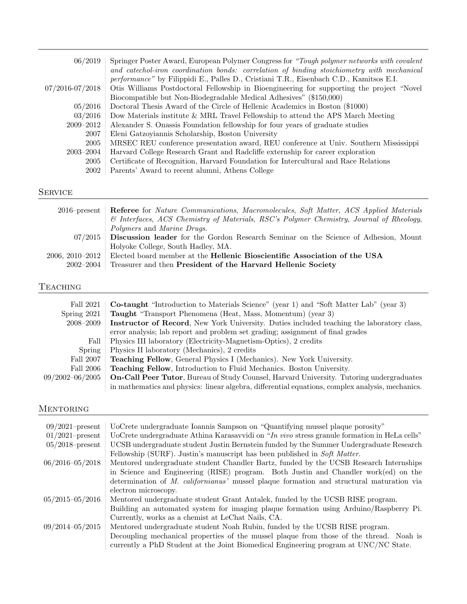| 06/2019             | Springer Poster Award, European Polymer Congress for "Tough polymer networks with covalent |
|---------------------|--------------------------------------------------------------------------------------------|
|                     | and catechol-iron coordination bonds: correlation of binding stoichiometry with mechanical |
|                     | performance" by Filippidi E., Palles D., Cristiani T.R., Eisenbach C.D., Kamitsos E.I.     |
| $07/2016 - 07/2018$ | Otis Williams Postdoctoral Fellowship in Bioengineering for supporting the project "Novel" |
|                     | Biocompatible but Non-Biodegradable Medical Adhesives" (\$150,000)                         |
| 05/2016             | Doctoral Thesis Award of the Circle of Hellenic Academics in Boston (\$1000)               |
| 03/2016             | Dow Materials institute & MRL Travel Fellowship to attend the APS March Meeting            |
| 2009-2012           | Alexander S. Onassis Foundation fellowship for four years of graduate studies              |
| 2007                | Eleni Gatzoyiannis Scholarship, Boston University                                          |
| 2005                | MRSEC REU conference presentation award, REU conference at Univ. Southern Mississippi      |
| $2003 - 2004$       | Harvard College Research Grant and Radcliffe externship for career exploration             |
| 2005                | Certificate of Recognition, Harvard Foundation for Intercultural and Race Relations        |
| 2002                | Parents' Award to recent alumni, Athens College                                            |

# **SERVICE**

| $2016$ -present | <b>Referee</b> for <i>Nature Communications</i> , <i>Macromolecules</i> , <i>Soft Matter</i> , <i>ACS Applied Materials</i> |
|-----------------|-----------------------------------------------------------------------------------------------------------------------------|
|                 | & Interfaces, ACS Chemistry of Materials, RSC's Polymer Chemistry, Journal of Rheology,                                     |
|                 | <i>Polymers</i> and <i>Marine Drugs.</i>                                                                                    |
|                 | 07/2015 Discussion leader for the Gordon Research Seminar on the Science of Adhesion, Mount                                 |
|                 | Holyoke College, South Hadley, MA.                                                                                          |
| 2006, 2010–2012 | Elected board member at the Hellenic Bioscientific Association of the USA                                                   |
| $2002 - 2004$   | Treasurer and then President of the Harvard Hellenic Society                                                                |

# **TEACHING**

| Fall 2021       | <b>Co-taught</b> "Introduction to Materials Science" (year 1) and "Soft Matter Lab" (year 3)     |
|-----------------|--------------------------------------------------------------------------------------------------|
| Spring $2021$   | <b>Taught</b> "Transport Phenomena (Heat, Mass, Momentum) (year 3)                               |
| 2008–2009       | Instructor of Record, New York University. Duties included teaching the laboratory class,        |
|                 | error analysis; lab report and problem set grading; assignment of final grades                   |
| Fall            | Physics III laboratory (Electricity-Magnetism-Optics), 2 credits                                 |
| Spring          | Physics II laboratory (Mechanics), 2 credits                                                     |
| Fall 2007       | Teaching Fellow, General Physics I (Mechanics). New York University.                             |
| Fall 2006       | <b>Teaching Fellow</b> , Introduction to Fluid Mechanics. Boston University.                     |
| 09/2002-06/2005 | <b>On-Call Peer Tutor, Bureau of Study Counsel, Harvard University. Tutoring undergraduates</b>  |
|                 | in mathematics and physics: linear algebra, differential equations, complex analysis, mechanics. |

# Mentoring

| $09/2021$ -present  | UoCrete undergraduate Ioannis Sampson on "Quantifying mussel plaque porosity"                |  |
|---------------------|----------------------------------------------------------------------------------------------|--|
| $01/2021$ -present  | UoCrete undergraduate Athina Karasavvidi on "In vivo stress granule formation in HeLa cells" |  |
| $05/2018$ -present  | UCSB undergraduate student Justin Bernstein funded by the Summer Undergraduate Research      |  |
|                     | Fellowship (SURF). Justin's manuscript has been published in Soft Matter.                    |  |
| $06/2016 - 05/2018$ | Mentored undergraduate student Chandler Bartz, funded by the UCSB Research Internships       |  |
|                     | in Science and Engineering (RISE) program. Both Justin and Chandler work(ed) on the          |  |
|                     | determination of M. californianus' mussel plaque formation and structural maturation via     |  |
|                     | electron microscopy.                                                                         |  |
| $05/2015 - 05/2016$ | Mentored undergraduate student Grant Antalek, funded by the UCSB RISE program.               |  |
|                     | Building an automated system for imaging plaque formation using Arduino/Raspberry Pi.        |  |
|                     | Currently, works as a chemist at LeChat Nails, CA.                                           |  |
| $09/2014 - 05/2015$ | Mentored undergraduate student Noah Rubin, funded by the UCSB RISE program.                  |  |
|                     | Decoupling mechanical properties of the mussel plaque from those of the thread. Noah is      |  |
|                     | currently a PhD Student at the Joint Biomedical Engineering program at UNC/NC State.         |  |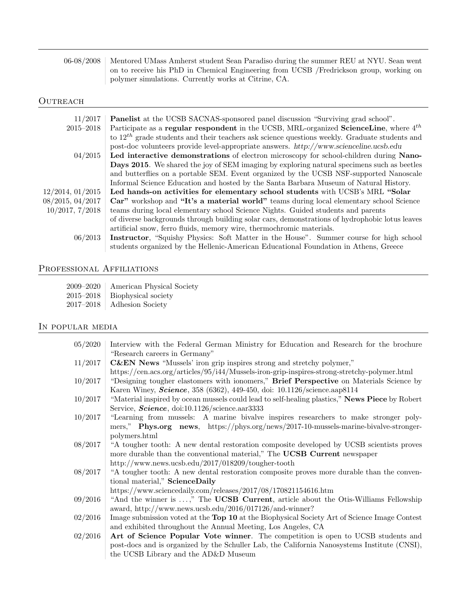| 06-08/2008   Mentored UMass Amherst student Sean Paradiso during the summer REU at NYU. Sean went |
|---------------------------------------------------------------------------------------------------|
| on to receive his PhD in Chemical Engineering from UCSB / Fredrickson group, working on           |
| polymer simulations. Currently works at Citrine, CA.                                              |

# $\hbox{OUTREACH}$

| 11/2017          | <b>Panelist</b> at the UCSB SACNAS-sponsored panel discussion "Surviving grad school".             |
|------------------|----------------------------------------------------------------------------------------------------|
| $2015 - 2018$    | Participate as a regular respondent in the UCSB, MRL-organized ScienceLine, where 4 <sup>th</sup>  |
|                  | to $12^{th}$ grade students and their teachers ask science questions weekly. Graduate students and |
|                  | post-doc volunteers provide level-appropriate answers. http://www.scienceline.ucsb.edu             |
| 04/2015          | Led interactive demonstrations of electron microscopy for school-children during Nano-             |
|                  | <b>Days 2015.</b> We shared the joy of SEM imaging by exploring natural specimens such as beetles  |
|                  | and butterflies on a portable SEM. Event organized by the UCSB NSF-supported Nanoscale             |
|                  | Informal Science Education and hosted by the Santa Barbara Museum of Natural History.              |
| 12/2014, 01/2015 | Led hands-on activities for elementary school students with UCSB's MRL "Solar"                     |
| 08/2015, 04/2017 | Car" workshop and "It's a material world" teams during local elementary school Science             |
| 10/2017, 7/2018  | teams during local elementary school Science Nights. Guided students and parents                   |
|                  | of diverse backgrounds through building solar cars, demonstrations of hydrophobic lotus leaves     |
|                  | artificial snow, ferro fluids, memory wire, thermochromic materials.                               |
| 06/2013          | Instructor, "Squishy Physics: Soft Matter in the House". Summer course for high school             |
|                  | students organized by the Hellenic-American Educational Foundation in Athens, Greece               |

### PROFESSIONAL AFFILIATIONS

| 2009–2020 | American Physical Society |
|-----------|---------------------------|
| 2015–2018 | Biophysical society       |

2017–2018 Adhesion Society

### In popular media

| 05/2020 | Interview with the Federal German Ministry for Education and Research for the brochure         |
|---------|------------------------------------------------------------------------------------------------|
|         | "Research careers in Germany"                                                                  |
| 11/2017 | <b>C&amp;EN</b> News "Mussels' iron grip inspires strong and stretchy polymer,"                |
|         | https://cen.acs.org/articles/95/i44/Mussels-iron-grip-inspires-strong-stretchy-polymer.html    |
| 10/2017 | "Designing tougher elastomers with ionomers," Brief Perspective on Materials Science by        |
|         | Karen Winey, <i>Science</i> , 358 (6362), 449-450, doi: 10.1126/science.aap8114                |
| 10/2017 | "Material inspired by ocean mussels could lead to self-healing plastics," News Piece by Robert |
|         | Service, Science, doi:10.1126/science.aar3333                                                  |
| 10/2017 | "Learning from mussels: A marine bivalve inspires researchers to make stronger poly-           |
|         | mers," Phys.org news, https://phys.org/news/2017-10-mussels-marine-bivalve-stronger-           |
|         | polymers.html                                                                                  |
| 08/2017 | "A tougher tooth: A new dental restoration composite developed by UCSB scientists proves       |
|         | more durable than the conventional material," The UCSB Current newspaper                       |
|         | http://www.news.ucsb.edu/2017/018209/tougher-tooth                                             |
| 08/2017 | "A tougher tooth: A new dental restoration composite proves more durable than the conven-      |
|         | tional material," ScienceDaily                                                                 |
|         | https://www.sciencedaily.com/releases/2017/08/170821154616.htm                                 |
| 09/2016 | "And the winner is ," The UCSB Current, article about the Otis-Williams Fellowship             |
|         | award, http://www.news.ucsb.edu/2016/017126/and-winner?                                        |
| 02/2016 | Image submission voted at the Top 10 at the Biophysical Society Art of Science Image Contest   |
|         | and exhibited throughout the Annual Meeting, Los Angeles, CA                                   |
| 02/2016 | Art of Science Popular Vote winner. The competition is open to UCSB students and               |
|         | post-docs and is organized by the Schuller Lab, the California Nanosystems Institute (CNSI),   |
|         | the UCSB Library and the AD&D Museum                                                           |